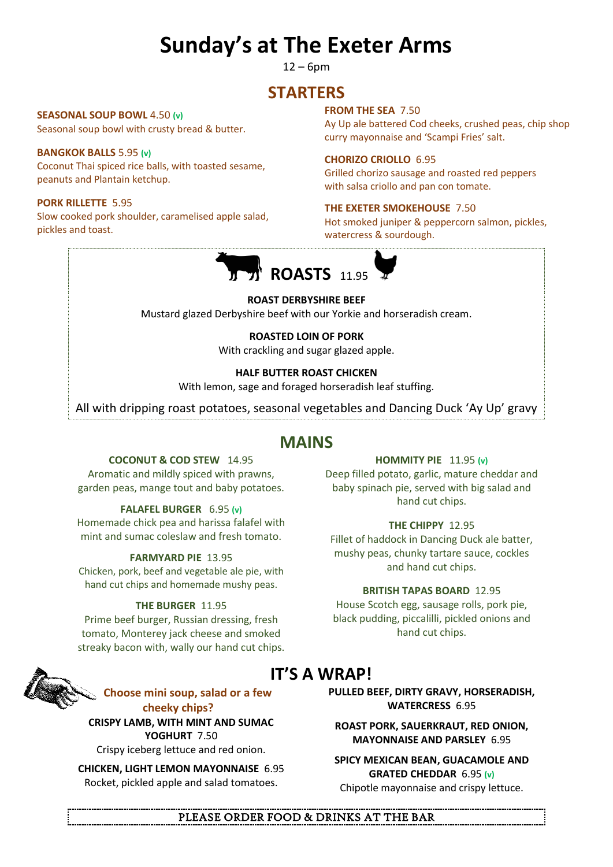# **Sunday's at The Exeter Arms**

 $12 - 6$ pm

# **STARTERS**

**SEASONAL SOUP BOWL** 4.50 **(v)** Seasonal soup bowl with crusty bread & butter.

## **BANGKOK BALLS** 5.95 **(v)**

Coconut Thai spiced rice balls, with toasted sesame, peanuts and Plantain ketchup.

### **PORK RILLETTE** 5.95

Slow cooked pork shoulder, caramelised apple salad, pickles and toast.

#### **FROM THE SEA** 7.50

Ay Up ale battered Cod cheeks, crushed peas, chip shop curry mayonnaise and 'Scampi Fries' salt.

#### **CHORIZO CRIOLLO** 6.95

Grilled chorizo sausage and roasted red peppers with salsa criollo and pan con tomate.

#### **THE EXETER SMOKEHOUSE** 7.50

Hot smoked juniper & peppercorn salmon, pickles, watercress & sourdough.



#### **ROAST DERBYSHIRE BEEF**

Mustard glazed Derbyshire beef with our Yorkie and horseradish cream.

## **ROASTED LOIN OF PORK**

With crackling and sugar glazed apple.

#### **HALF BUTTER ROAST CHICKEN**

With lemon, sage and foraged horseradish leaf stuffing.

All with dripping roast potatoes, seasonal vegetables and Dancing Duck 'Ay Up' gravy

## **MAINS**

#### **COCONUT & COD STEW** 14.95

Aromatic and mildly spiced with prawns, garden peas, mange tout and baby potatoes.

#### **FALAFEL BURGER** 6.95 **(v)**

Homemade chick pea and harissa falafel with mint and sumac coleslaw and fresh tomato.

#### **FARMYARD PIE** 13.95

Chicken, pork, beef and vegetable ale pie, with hand cut chips and homemade mushy peas.

#### **THE BURGER** 11.95

Prime beef burger, Russian dressing, fresh tomato, Monterey jack cheese and smoked streaky bacon with, wally our hand cut chips.



# **IT'S A WRAP!**

**Choose mini soup, salad or a few cheeky chips?**

**CRISPY LAMB, WITH MINT AND SUMAC YOGHURT** 7.50

Crispy iceberg lettuce and red onion.

**CHICKEN, LIGHT LEMON MAYONNAISE** 6.95 Rocket, pickled apple and salad tomatoes.

## **PULLED BEEF, DIRTY GRAVY, HORSERADISH, WATERCRESS** 6.95

**ROAST PORK, SAUERKRAUT, RED ONION, MAYONNAISE AND PARSLEY** 6.95

**SPICY MEXICAN BEAN, GUACAMOLE AND GRATED CHEDDAR** 6.95 **(v)** Chipotle mayonnaise and crispy lettuce.

## PLEASE ORDER FOOD & DRINKS AT THE BAR

**HOMMITY PIE** 11.95 **(v)**

Deep filled potato, garlic, mature cheddar and baby spinach pie, served with big salad and hand cut chips.

#### **THE CHIPPY** 12.95

Fillet of haddock in Dancing Duck ale batter, mushy peas, chunky tartare sauce, cockles and hand cut chips.

#### **BRITISH TAPAS BOARD** 12.95

House Scotch egg, sausage rolls, pork pie, black pudding, piccalilli, pickled onions and hand cut chips.